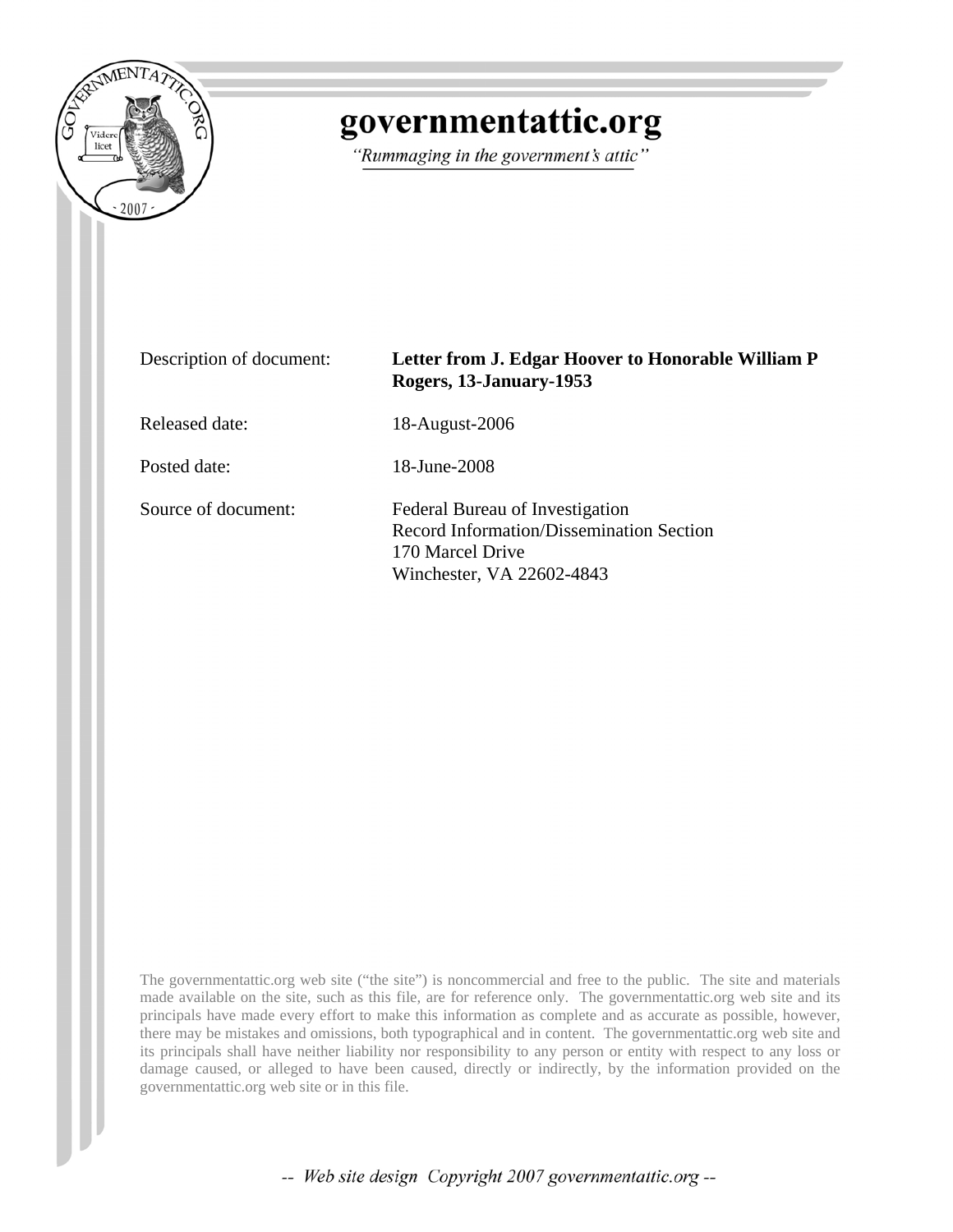

## governmentattic.org

"Rummaging in the government's attic"

## Description of document: **Letter from J. Edgar Hoover to Honorable William P Rogers, 13-January-1953**

Released date: 18-August-2006

Posted date: 18-June-2008

Source of document: Federal Bureau of Investigation Record Information/Dissemination Section 170 Marcel Drive Winchester, VA 22602-4843

The governmentattic.org web site ("the site") is noncommercial and free to the public. The site and materials made available on the site, such as this file, are for reference only. The governmentattic.org web site and its principals have made every effort to make this information as complete and as accurate as possible, however, there may be mistakes and omissions, both typographical and in content. The governmentattic.org web site and its principals shall have neither liability nor responsibility to any person or entity with respect to any loss or damage caused, or alleged to have been caused, directly or indirectly, by the information provided on the governmentattic.org web site or in this file.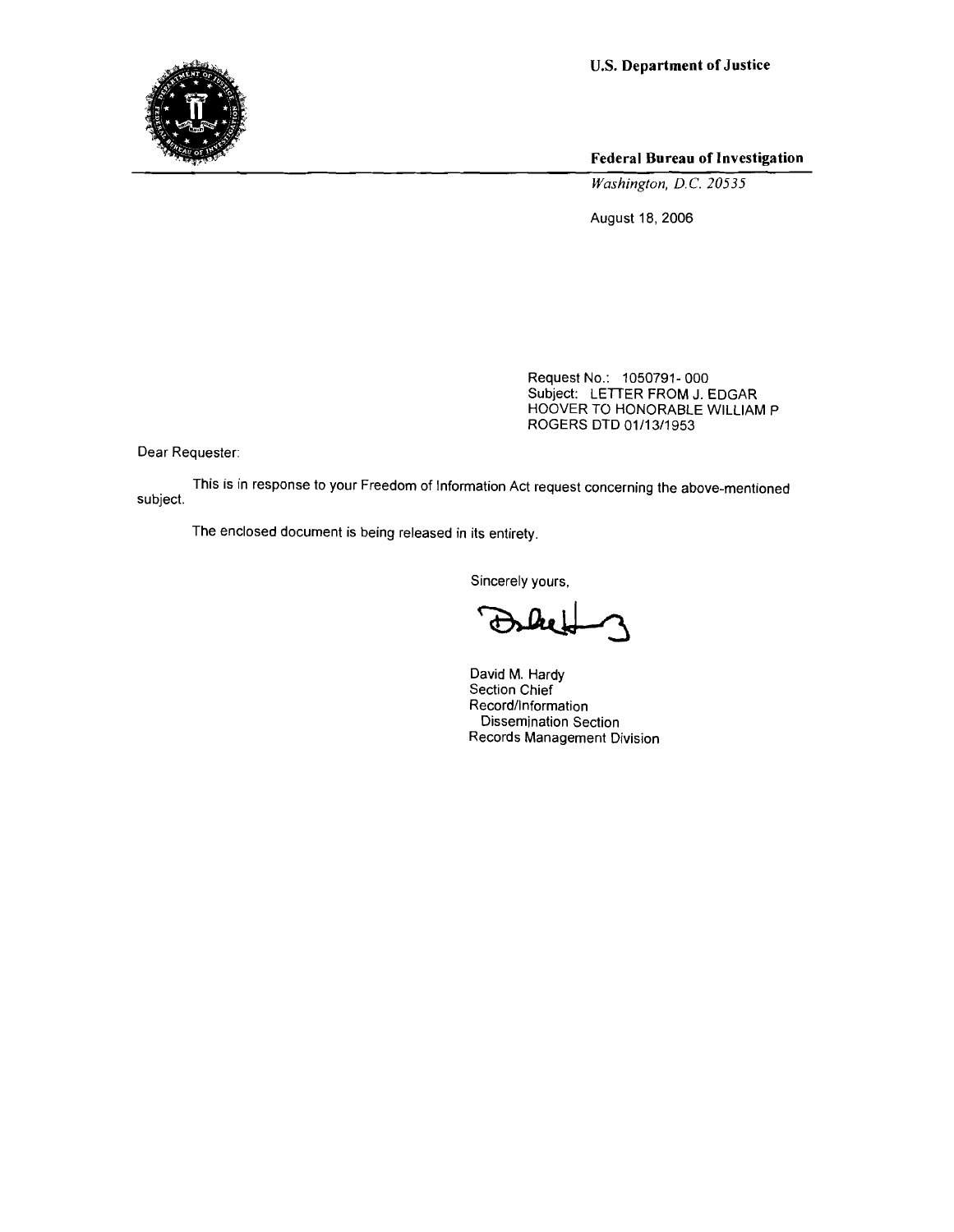U.S. **Department of Justice**



**Federal Bureau of Investigation**

*Washington, D.C. 20535*

August 18, 2006

Request No.: 1050791- 000 Subject: LEITER FROM J. EDGAR HOOVER TO HONORABLE WILLIAM P ROGERS DTD 01/13/1953

Dear Requester:

subject. This is in response to your Freedom of Information Act request concerning the above-mentioned

The enclosed document is being released in its entirety.

Sincerely yours,

ம்

David M. Hardy Section Chief Record/Information Dissemination Section Records Management Division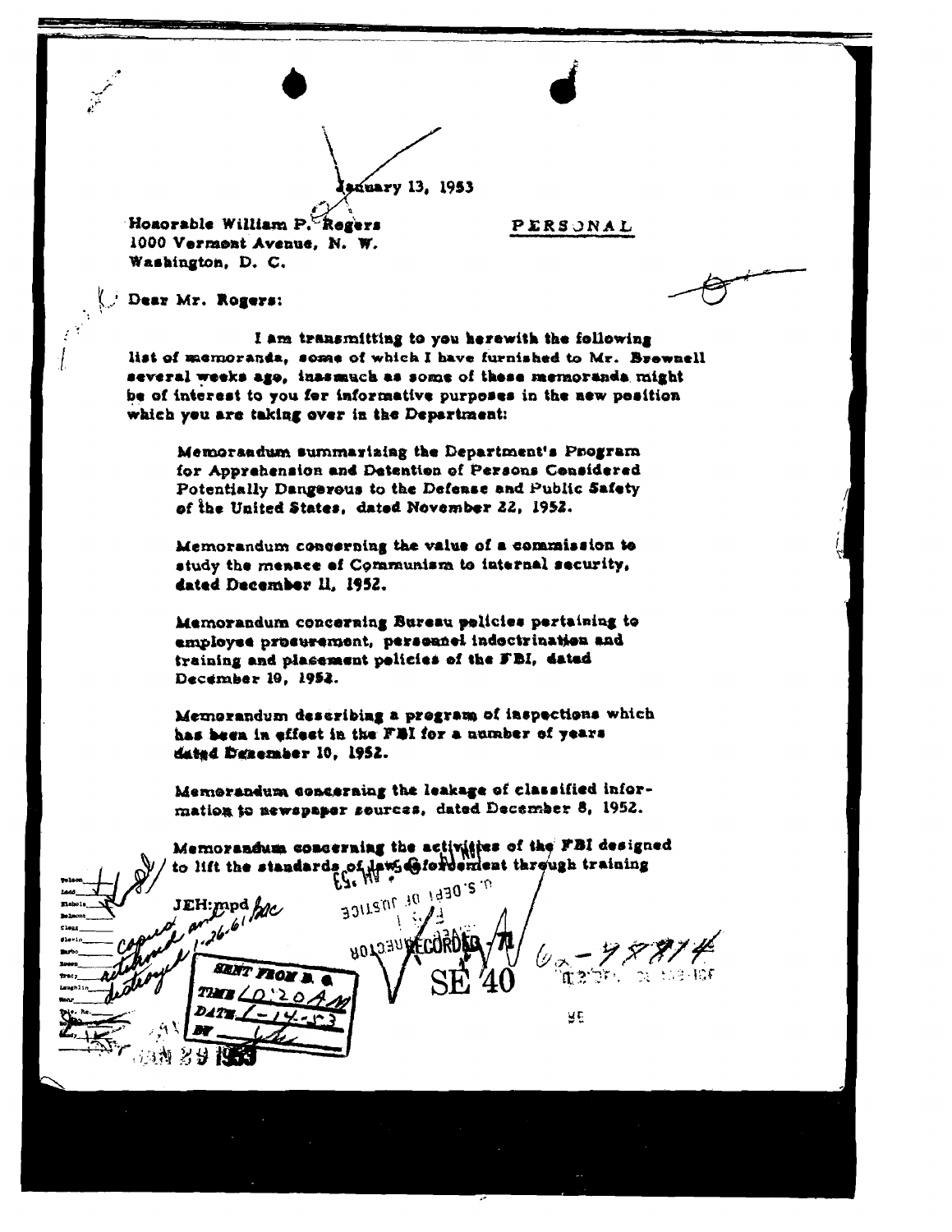

Honorable William P. Rogers 1000 Vermont Avenue, N. W. Washington, D. C.

PERSONAL

/ Dear Mr. Rogers:

I am transmitting to you herewith the following list of memoranda, some of which I have furnished to Mr. Brewnell several weeks ago, inasmuch as some of these memoranda might be of interest to you for informative purposes in the new position which you are taking over in the Department:

Memorandum summariaing the Department's Program for Apprehension and Detention of Persons Considered Potentially Dangerous to the Defense and Public Safety of the United States, dated November 22, 1952.

Memorandum concerning the value of a commission to study the menace of Communism to internal security, dated December 11, 1952.

Memorandum concerning Bureau policies pertaining to employee prosurement, personnel indoctrination and training and placement policies of the FBI, dated December 19. 1952.

Memorandum describing a program of inspections which has been in effect in the FBI for a number of years dated Denember 10, 1952.

Memorandum concerning the leakage of classified information to newspaper sources, dated December 8, 1952.

Memorandum concerning the activities of the FBI designed to lift the standards of laws Glorbenient through training

 $\frac{1}{2}$ . 2. 0E<sup>p</sup> 10f JUSTICE JEH: mpd fre ADTSEAR asa es nerin a news **FROM A** THE ⊌€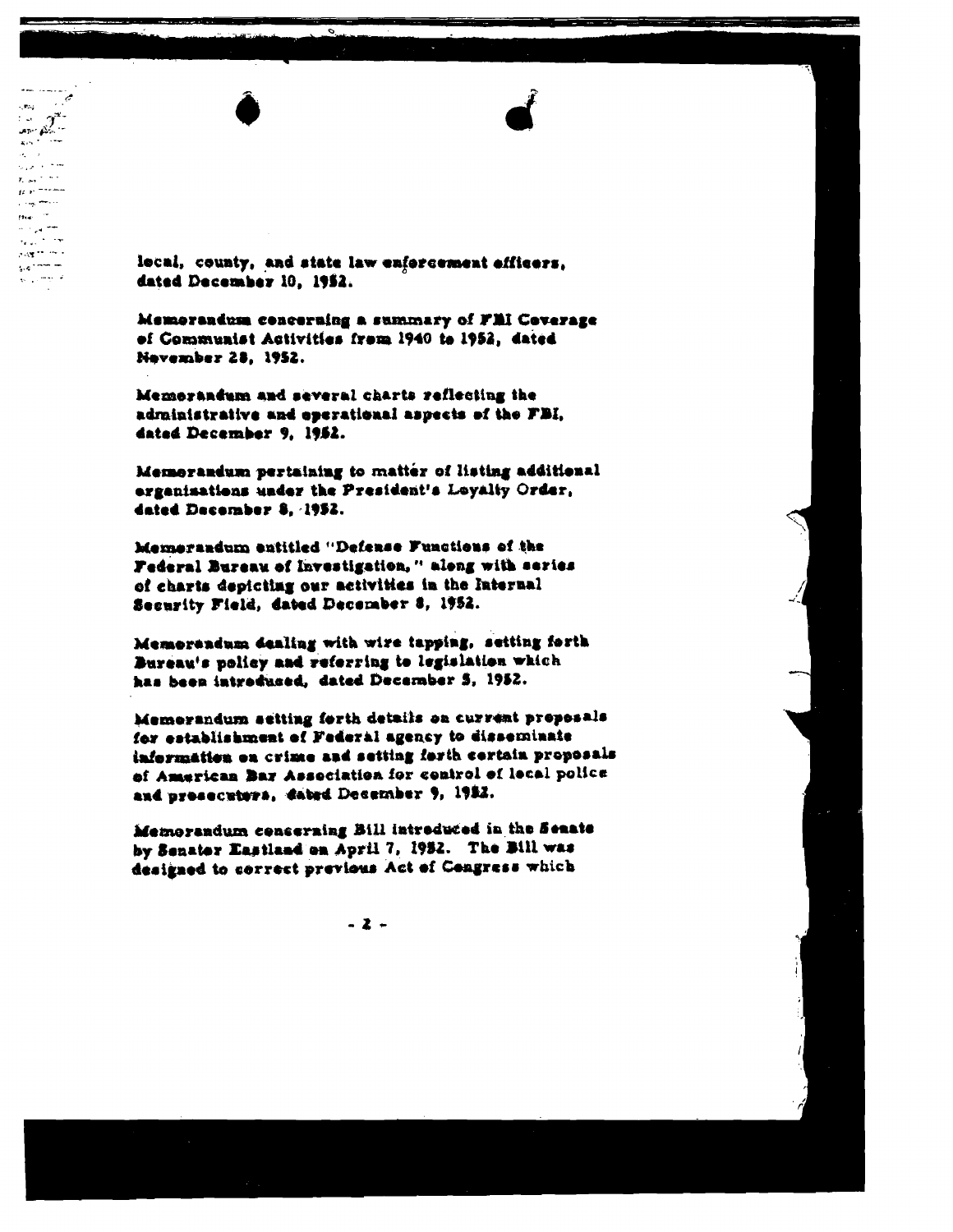local, county, and state law enforcement officers. dated December 10, 1952.

فيبت

 $\overline{R}$  $\mathbb{Z}$  $\mathbf{x}$  and  $\mathbf{y}$  $\hat{Q} = \hat{P}$ سيدان بريد  $\tau_{\rm c}$  and  $\tau_{\rm c}$  and  $\mu \rightarrow \Box$  ,  $\Box_{\mathcal{B}}$  , and  $\Box$ itean (n. ستاني دي.<br>س  $\frac{1}{2} \log \frac{1}{2} \frac{1}{2} \log \frac{1}{2}$  $\sqrt{2}$ 

is composit

Memorandum concerning a summary of FMI Coverage of Communist Activities from 1940 to 1952, dated Nevember 28, 1952.

Memorandum and several charts reflecting the administrative and operational aspects of the FBI. dated December 9, 1952.

Memorandum pertaining to matter of listing additional ergenisations under the President's Loyalty Order, dated December 8, 1952.

Memorandum entitled "Defense Functions of the Federal Bureau of Investigation," along with series of charts depicting our activities in the Internal Security Field, dated December 8, 1952.

Memorendum dealing with wire tapping, setting forth Bureau's policy and referring to legislation which has been introduced, dated December 5, 1952.

Memorandum setting forth details on current proposals for establishment of Federal agency to disseminate information on crime and setting forth certain proposals of American Bar Association for control of local police and presecutors, dated December 9, 1982.

Memorandum concerning Bill introduced in the Senate by Senator Eastland on April 7, 1952. The Bill was designed to correct previous Act of Congress which

 $-2 -$